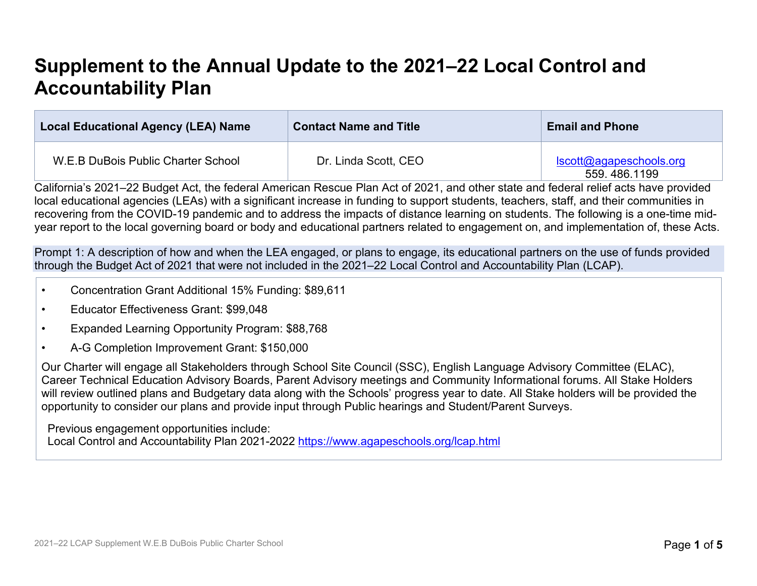# **Supplement to the Annual Update to the 2021–22 Local Control and Accountability Plan**

| <b>Local Educational Agency (LEA) Name</b> | <b>Contact Name and Title</b> | <b>Email and Phone</b>                  |
|--------------------------------------------|-------------------------------|-----------------------------------------|
| W.E.B DuBois Public Charter School         | Dr. Linda Scott, CEO          | Iscott@agapeschools.org<br>559.486.1199 |

California's 2021–22 Budget Act, the federal American Rescue Plan Act of 2021, and other state and federal relief acts have provided local educational agencies (LEAs) with a significant increase in funding to support students, teachers, staff, and their communities in recovering from the COVID-19 pandemic and to address the impacts of distance learning on students. The following is a one-time midyear report to the local governing board or body and educational partners related to engagement on, and implementation of, these Acts.

Prompt 1: A description of how and when the LEA engaged, or plans to engage, its educational partners on the use of funds provided through the Budget Act of 2021 that were not included in the 2021–22 Local Control and Accountability Plan (LCAP).

- Concentration Grant Additional 15% Funding: \$89,611
- Educator Effectiveness Grant: \$99,048
- Expanded Learning Opportunity Program: \$88,768
- A-G Completion Improvement Grant: \$150,000

Our Charter will engage all Stakeholders through School Site Council (SSC), English Language Advisory Committee (ELAC), Career Technical Education Advisory Boards, Parent Advisory meetings and Community Informational forums. All Stake Holders will review outlined plans and Budgetary data along with the Schools' progress year to date. All Stake holders will be provided the opportunity to consider our plans and provide input through Public hearings and Student/Parent Surveys.

Previous engagement opportunities include: Local Control and Accountability Plan 2021-2022 <https://www.agapeschools.org/lcap.html>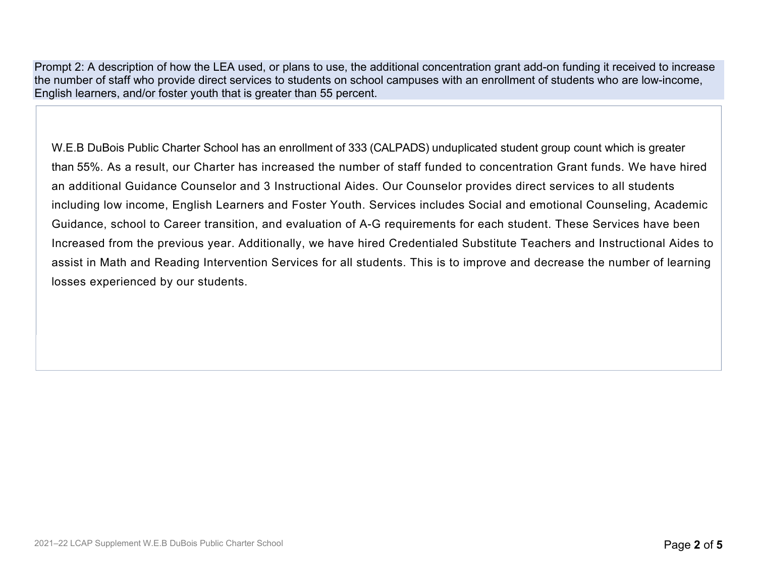Prompt 2: A description of how the LEA used, or plans to use, the additional concentration grant add-on funding it received to increase the number of staff who provide direct services to students on school campuses with an enrollment of students who are low-income, English learners, and/or foster youth that is greater than 55 percent.

W.E.B DuBois Public Charter School has an enrollment of 333 (CALPADS) unduplicated student group count which is greater than 55%. As a result, our Charter has increased the number of staff funded to concentration Grant funds. We have hired an additional Guidance Counselor and 3 Instructional Aides. Our Counselor provides direct services to all students including low income, English Learners and Foster Youth. Services includes Social and emotional Counseling, Academic Guidance, school to Career transition, and evaluation of A-G requirements for each student. These Services have been Increased from the previous year. Additionally, we have hired Credentialed Substitute Teachers and Instructional Aides to assist in Math and Reading Intervention Services for all students. This is to improve and decrease the number of learning losses experienced by our students.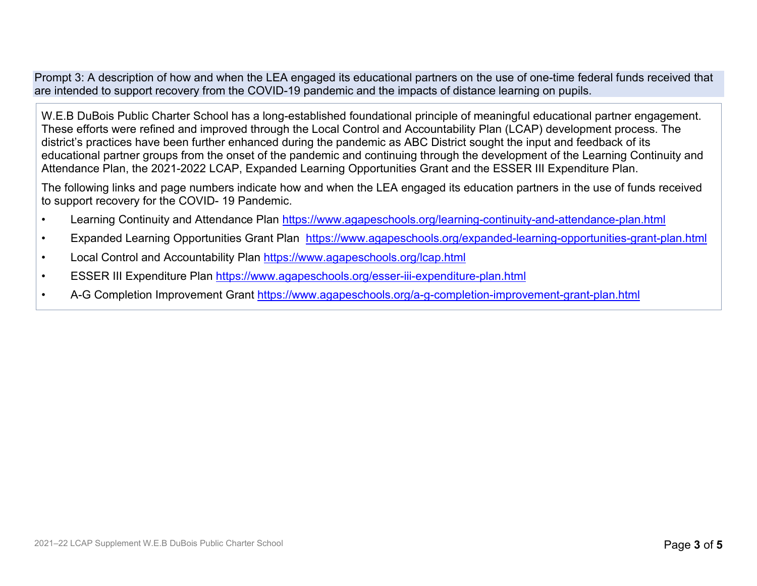Prompt 3: A description of how and when the LEA engaged its educational partners on the use of one-time federal funds received that are intended to support recovery from the COVID-19 pandemic and the impacts of distance learning on pupils.

W.E.B DuBois Public Charter School has a long-established foundational principle of meaningful educational partner engagement. These efforts were refined and improved through the Local Control and Accountability Plan (LCAP) development process. The district's practices have been further enhanced during the pandemic as ABC District sought the input and feedback of its educational partner groups from the onset of the pandemic and continuing through the development of the Learning Continuity and Attendance Plan, the 2021-2022 LCAP, Expanded Learning Opportunities Grant and the ESSER III Expenditure Plan.

The following links and page numbers indicate how and when the LEA engaged its education partners in the use of funds received to support recovery for the COVID- 19 Pandemic.

- Learning Continuity and Attendance Plan<https://www.agapeschools.org/learning-continuity-and-attendance-plan.html>
- Expanded Learning Opportunities Grant Plan <https://www.agapeschools.org/expanded-learning-opportunities-grant-plan.html>
- Local Control and Accountability Plan<https://www.agapeschools.org/lcap.html>
- ESSER III Expenditure Plan<https://www.agapeschools.org/esser-iii-expenditure-plan.html>
- A-G Completion Improvement Grant <https://www.agapeschools.org/a-g-completion-improvement-grant-plan.html>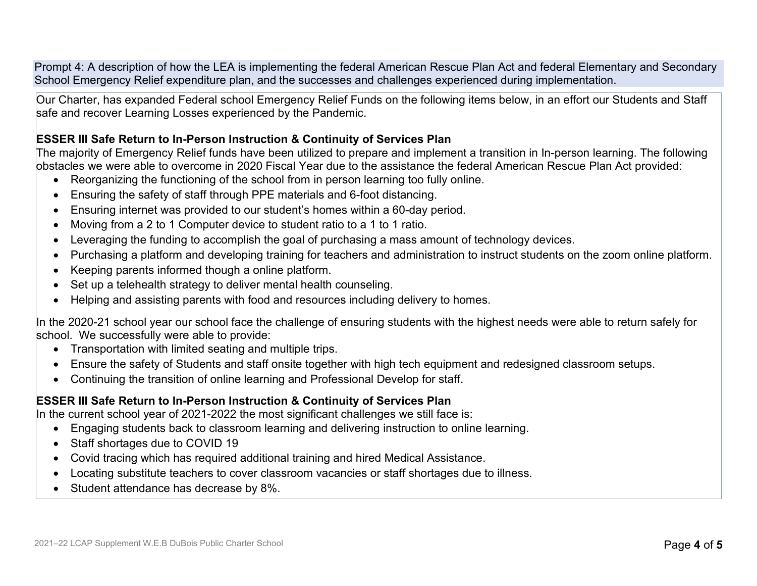Prompt 4: A description of how the LEA is implementing the federal American Rescue Plan Act and federal Elementary and Secondary School Emergency Relief expenditure plan, and the successes and challenges experienced during implementation.

Our Charter, has expanded Federal school Emergency Relief Funds on the following items below, in an effort our Students and Staff safe and recover Learning Losses experienced by the Pandemic.

#### **ESSER III Safe Return to In-Person Instruction & Continuity of Services Plan**

The majority of Emergency Relief funds have been utilized to prepare and implement a transition in In-person learning. The following obstacles we were able to overcome in 2020 Fiscal Year due to the assistance the federal American Rescue Plan Act provided:

- Reorganizing the functioning of the school from in person learning too fully online.
- Ensuring the safety of staff through PPE materials and 6-foot distancing.
- Ensuring internet was provided to our student's homes within a 60-day period.
- Moving from a 2 to 1 Computer device to student ratio to a 1 to 1 ratio.
- Leveraging the funding to accomplish the goal of purchasing a mass amount of technology devices.
- Purchasing a platform and developing training for teachers and administration to instruct students on the zoom online platform.
- Keeping parents informed though a online platform.
- Set up a telehealth strategy to deliver mental health counseling.
- Helping and assisting parents with food and resources including delivery to homes.

In the 2020-21 school year our school face the challenge of ensuring students with the highest needs were able to return safely for school. We successfully were able to provide:

- Transportation with limited seating and multiple trips.
- Ensure the safety of Students and staff onsite together with high tech equipment and redesigned classroom setups.
- Continuing the transition of online learning and Professional Develop for staff.

### **ESSER III Safe Return to In-Person Instruction & Continuity of Services Plan**

In the current school year of 2021-2022 the most significant challenges we still face is:

- Engaging students back to classroom learning and delivering instruction to online learning.
- Staff shortages due to COVID 19
- Covid tracing which has required additional training and hired Medical Assistance.
- Locating substitute teachers to cover classroom vacancies or staff shortages due to illness.
- Student attendance has decrease by 8%.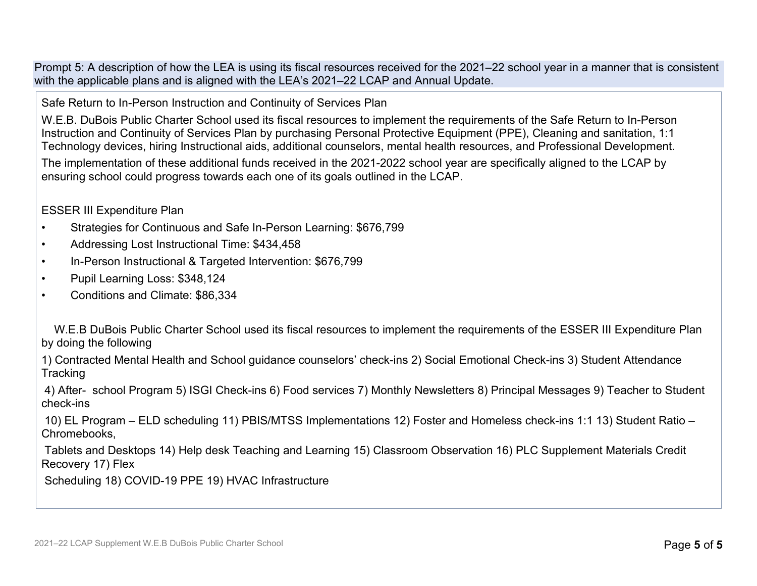Prompt 5: A description of how the LEA is using its fiscal resources received for the 2021–22 school year in a manner that is consistent with the applicable plans and is aligned with the LEA's 2021–22 LCAP and Annual Update.

Safe Return to In-Person Instruction and Continuity of Services Plan

W.E.B. DuBois Public Charter School used its fiscal resources to implement the requirements of the Safe Return to In-Person Instruction and Continuity of Services Plan by purchasing Personal Protective Equipment (PPE), Cleaning and sanitation, 1:1 Technology devices, hiring Instructional aids, additional counselors, mental health resources, and Professional Development.

The implementation of these additional funds received in the 2021-2022 school year are specifically aligned to the LCAP by ensuring school could progress towards each one of its goals outlined in the LCAP.

ESSER III Expenditure Plan

- Strategies for Continuous and Safe In-Person Learning: \$676,799
- Addressing Lost Instructional Time: \$434,458
- In-Person Instructional & Targeted Intervention: \$676,799
- Pupil Learning Loss: \$348,124
- Conditions and Climate: \$86,334

 W.E.B DuBois Public Charter School used its fiscal resources to implement the requirements of the ESSER III Expenditure Plan by doing the following

1) Contracted Mental Health and School guidance counselors' check-ins 2) Social Emotional Check-ins 3) Student Attendance **Tracking** 

4) After- school Program 5) ISGI Check-ins 6) Food services 7) Monthly Newsletters 8) Principal Messages 9) Teacher to Student check-ins

10) EL Program – ELD scheduling 11) PBIS/MTSS Implementations 12) Foster and Homeless check-ins 1:1 13) Student Ratio – Chromebooks,

Tablets and Desktops 14) Help desk Teaching and Learning 15) Classroom Observation 16) PLC Supplement Materials Credit Recovery 17) Flex

Scheduling 18) COVID-19 PPE 19) HVAC Infrastructure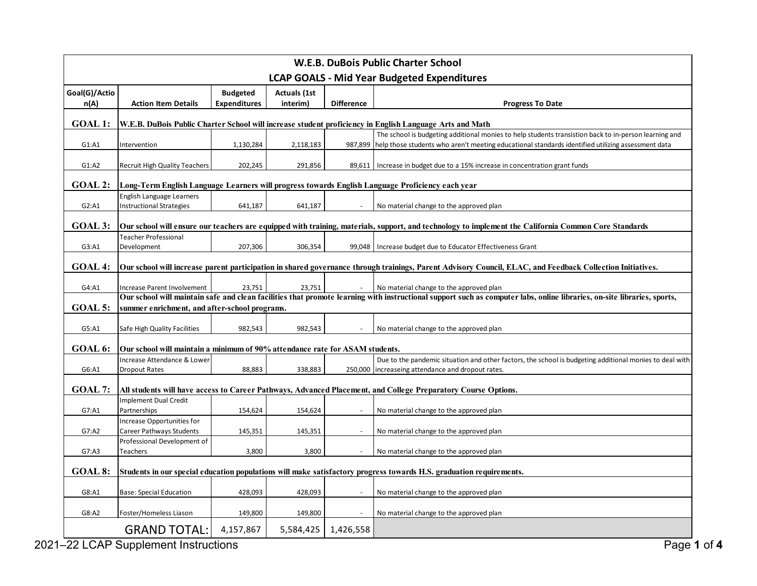| <b>W.E.B. DuBois Public Charter School</b>                                                                                                                                  |                                                                                                                                                                         |                     |                     |                   |                                                                                                           |  |  |
|-----------------------------------------------------------------------------------------------------------------------------------------------------------------------------|-------------------------------------------------------------------------------------------------------------------------------------------------------------------------|---------------------|---------------------|-------------------|-----------------------------------------------------------------------------------------------------------|--|--|
| <b>LCAP GOALS - Mid Year Budgeted Expenditures</b>                                                                                                                          |                                                                                                                                                                         |                     |                     |                   |                                                                                                           |  |  |
| Goal(G)/Actio                                                                                                                                                               |                                                                                                                                                                         | <b>Budgeted</b>     | <b>Actuals (1st</b> |                   |                                                                                                           |  |  |
| n(A)                                                                                                                                                                        | <b>Action Item Details</b>                                                                                                                                              | <b>Expenditures</b> | interim)            | <b>Difference</b> | <b>Progress To Date</b>                                                                                   |  |  |
| <b>GOAL 1:</b><br>W.E.B. DuBois Public Charter School will increase student proficiency in English Language Arts and Math                                                   |                                                                                                                                                                         |                     |                     |                   |                                                                                                           |  |  |
| The school is budgeting additional monies to help students transistion back to in-person learning and                                                                       |                                                                                                                                                                         |                     |                     |                   |                                                                                                           |  |  |
| G1: A1                                                                                                                                                                      | Intervention                                                                                                                                                            | 1,130,284           | 2,118,183           |                   | 987,899 help those students who aren't meeting educational standards identified utilizing assessment data |  |  |
| G1: A2                                                                                                                                                                      | <b>Recruit High Quality Teachers</b>                                                                                                                                    | 202,245             | 291,856             |                   | 89,611   Increase in budget due to a 15% increase in concentration grant funds                            |  |  |
| <b>GOAL 2:</b><br>Long-Term English Language Learners will progress towards English Language Proficiency each year                                                          |                                                                                                                                                                         |                     |                     |                   |                                                                                                           |  |  |
|                                                                                                                                                                             | <b>English Language Learners</b>                                                                                                                                        |                     |                     |                   |                                                                                                           |  |  |
| G2: A1                                                                                                                                                                      | <b>Instructional Strategies</b>                                                                                                                                         | 641,187             | 641,187             |                   | No material change to the approved plan                                                                   |  |  |
| <b>GOAL 3:</b><br>Our school will ensure our teachers are equipped with training, materials, support, and technology to implement the California Common Core Standards      |                                                                                                                                                                         |                     |                     |                   |                                                                                                           |  |  |
|                                                                                                                                                                             | Teacher Professional                                                                                                                                                    |                     |                     |                   |                                                                                                           |  |  |
| G3: A1                                                                                                                                                                      | Development                                                                                                                                                             | 207,306             | 306,354             |                   | 99,048   Increase budget due to Educator Effectiveness Grant                                              |  |  |
|                                                                                                                                                                             |                                                                                                                                                                         |                     |                     |                   |                                                                                                           |  |  |
| <b>GOAL 4:</b><br>Our school will increase parent participation in shared governance through trainings, Parent Advisory Council, ELAC, and Feedback Collection Initiatives. |                                                                                                                                                                         |                     |                     |                   |                                                                                                           |  |  |
| G4: A1                                                                                                                                                                      | <b>Increase Parent Involvement</b>                                                                                                                                      | 23,751              | 23,751              |                   | No material change to the approved plan                                                                   |  |  |
|                                                                                                                                                                             | Our school will maintain safe and clean facilities that promote learning with instructional support such as computer labs, online libraries, on-site libraries, sports, |                     |                     |                   |                                                                                                           |  |  |
| GOAL 5:                                                                                                                                                                     | summer enrichment, and after-school programs.                                                                                                                           |                     |                     |                   |                                                                                                           |  |  |
| G5:AA                                                                                                                                                                       | Safe High Quality Facilities                                                                                                                                            | 982,543             | 982,543             |                   | No material change to the approved plan                                                                   |  |  |
|                                                                                                                                                                             |                                                                                                                                                                         |                     |                     |                   |                                                                                                           |  |  |
| GOAL 6:<br>Our school will maintain a minimum of 90% attendance rate for ASAM students.                                                                                     |                                                                                                                                                                         |                     |                     |                   |                                                                                                           |  |  |
|                                                                                                                                                                             | Increase Attendance & Lower                                                                                                                                             |                     |                     |                   | Due to the pandemic situation and other factors, the school is budgeting additional monies to deal with   |  |  |
| G6:A1                                                                                                                                                                       | <b>Dropout Rates</b>                                                                                                                                                    | 88,883              | 338,883             |                   | 250,000   increaseing attendance and dropout rates.                                                       |  |  |
| <b>GOAL 7:</b><br>All students will have access to Career Pathways, Advanced Placement, and College Preparatory Course Options.                                             |                                                                                                                                                                         |                     |                     |                   |                                                                                                           |  |  |
|                                                                                                                                                                             | <b>Implement Dual Credit</b>                                                                                                                                            |                     |                     |                   |                                                                                                           |  |  |
| G7:A1                                                                                                                                                                       | Partnerships                                                                                                                                                            | 154,624             | 154,624             |                   | No material change to the approved plan                                                                   |  |  |
|                                                                                                                                                                             | Increase Opportunities for                                                                                                                                              |                     |                     |                   |                                                                                                           |  |  |
| G7: A2                                                                                                                                                                      | Career Pathways Students                                                                                                                                                | 145,351             | 145,351             |                   | No material change to the approved plan                                                                   |  |  |
|                                                                                                                                                                             | Professional Development of                                                                                                                                             |                     |                     |                   |                                                                                                           |  |  |
| G7: A3                                                                                                                                                                      | Teachers                                                                                                                                                                | 3,800               | 3,800               |                   | No material change to the approved plan                                                                   |  |  |
| GOAL 8:                                                                                                                                                                     | Students in our special education populations will make satisfactory progress towards H.S. graduation requirements.                                                     |                     |                     |                   |                                                                                                           |  |  |
|                                                                                                                                                                             |                                                                                                                                                                         |                     |                     |                   |                                                                                                           |  |  |
| G8:A1                                                                                                                                                                       | <b>Base: Special Education</b>                                                                                                                                          | 428,093             | 428,093             |                   | No material change to the approved plan                                                                   |  |  |
|                                                                                                                                                                             |                                                                                                                                                                         |                     |                     |                   |                                                                                                           |  |  |
| G8:AA2                                                                                                                                                                      | Foster/Homeless Liason                                                                                                                                                  | 149,800             | 149,800             |                   | No material change to the approved plan                                                                   |  |  |
|                                                                                                                                                                             | <b>GRAND TOTAL:</b>                                                                                                                                                     | 4,157,867           | 5,584,425           | 1,426,558         |                                                                                                           |  |  |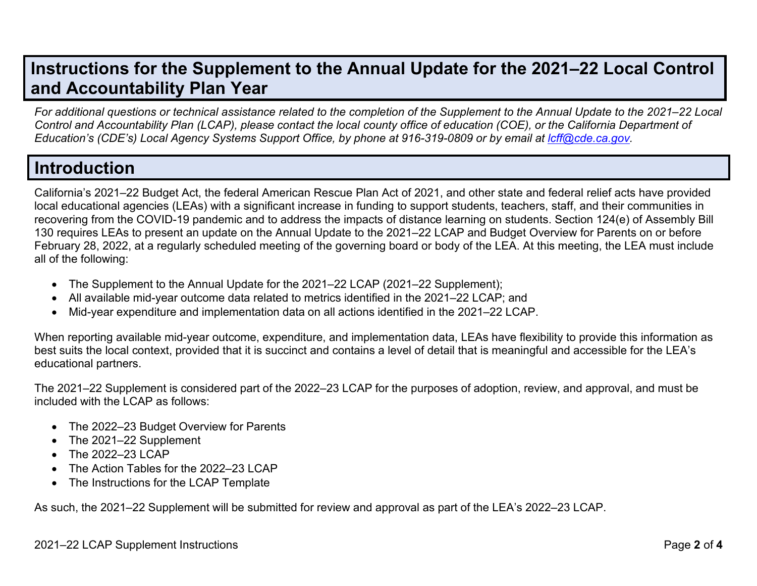# **Instructions for the Supplement to the Annual Update for the 2021–22 Local Control and Accountability Plan Year**

*For additional questions or technical assistance related to the completion of the Supplement to the Annual Update to the 2021–22 Local* Control and Accountability Plan (LCAP), please contact the local county office of education (COE), or the California Department of Education's (CDE's) Local Agency Systems Support Office, by phone at 916-319-0809 or by email at Icff@cde.ca.gov.

## **Introduction**

California's 2021–22 Budget Act, the federal American Rescue Plan Act of 2021, and other state and federal relief acts have provided local educational agencies (LEAs) with a significant increase in funding to support students, teachers, staff, and their communities in recovering from the COVID-19 pandemic and to address the impacts of distance learning on students. Section 124(e) of Assembly Bill 130 requires LEAs to present an update on the Annual Update to the 2021–22 LCAP and Budget Overview for Parents on or before February 28, 2022, at a regularly scheduled meeting of the governing board or body of the LEA. At this meeting, the LEA must include all of the following:

- The Supplement to the Annual Update for the 2021–22 LCAP (2021–22 Supplement);
- All available mid-year outcome data related to metrics identified in the 2021–22 LCAP; and
- Mid-year expenditure and implementation data on all actions identified in the 2021–22 LCAP.

When reporting available mid-year outcome, expenditure, and implementation data, LEAs have flexibility to provide this information as best suits the local context, provided that it is succinct and contains a level of detail that is meaningful and accessible for the LEA's educational partners.

The 2021–22 Supplement is considered part of the 2022–23 LCAP for the purposes of adoption, review, and approval, and must be included with the LCAP as follows:

- The 2022–23 Budget Overview for Parents
- The 2021–22 Supplement
- The 2022–23 LCAP
- The Action Tables for the 2022–23 LCAP
- The Instructions for the LCAP Template

As such, the 2021–22 Supplement will be submitted for review and approval as part of the LEA's 2022–23 LCAP.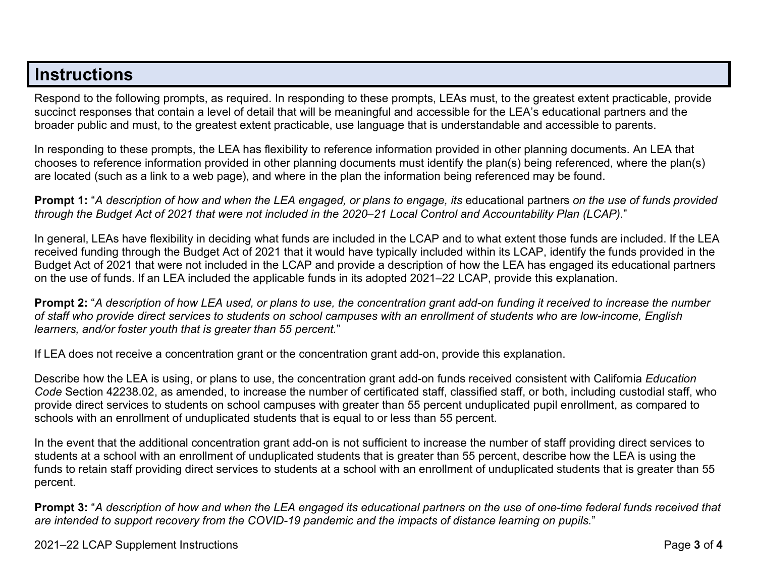### **Instructions**

Respond to the following prompts, as required. In responding to these prompts, LEAs must, to the greatest extent practicable, provide succinct responses that contain a level of detail that will be meaningful and accessible for the LEA's educational partners and the broader public and must, to the greatest extent practicable, use language that is understandable and accessible to parents.

In responding to these prompts, the LEA has flexibility to reference information provided in other planning documents. An LEA that chooses to reference information provided in other planning documents must identify the plan(s) being referenced, where the plan(s) are located (such as a link to a web page), and where in the plan the information being referenced may be found.

**Prompt 1:** "*A description of how and when the LEA engaged, or plans to engage, its* educational partners *on the use of funds provided* through the Budget Act of 2021 that were not included in the 2020–21 Local Control and Accountability Plan (LCAP)."

In general, LEAs have flexibility in deciding what funds are included in the LCAP and to what extent those funds are included. If the LEA received funding through the Budget Act of 2021 that it would have typically included within its LCAP, identify the funds provided in the Budget Act of 2021 that were not included in the LCAP and provide a description of how the LEA has engaged its educational partners on the use of funds. If an LEA included the applicable funds in its adopted 2021–22 LCAP, provide this explanation.

**Prompt 2:** "A description of how LEA used, or plans to use, the concentration grant add-on funding it received to increase the number *of staff who provide direct services to students on school campuses with an enrollment of students who are low-income, English learners, and/or foster youth that is greater than 55 percent.*"

If LEA does not receive a concentration grant or the concentration grant add-on, provide this explanation.

Describe how the LEA is using, or plans to use, the concentration grant add-on funds received consistent with California *Education Code* Section 42238.02, as amended, to increase the number of certificated staff, classified staff, or both, including custodial staff, who provide direct services to students on school campuses with greater than 55 percent unduplicated pupil enrollment, as compared to schools with an enrollment of unduplicated students that is equal to or less than 55 percent.

In the event that the additional concentration grant add-on is not sufficient to increase the number of staff providing direct services to students at a school with an enrollment of unduplicated students that is greater than 55 percent, describe how the LEA is using the funds to retain staff providing direct services to students at a school with an enrollment of unduplicated students that is greater than 55 percent.

**Prompt 3:** "*A description of how and when the LEA engaged its educational partners on the use of one-time federal funds received that* are intended to support recovery from the COVID-19 pandemic and the impacts of distance learning on pupils."

2021–22 LCAP Supplement Instructions Page **3** of **4**